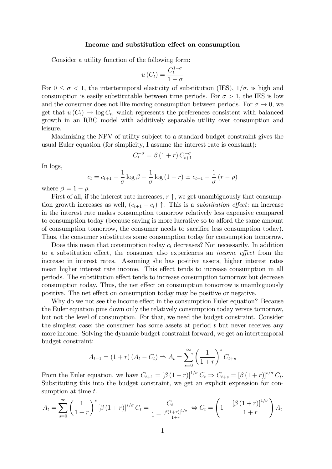## Income and substitution effect on consumption

Consider a utility function of the following form:

$$
u\left(C_{t}\right) = \frac{C_{t}^{1-\sigma}}{1-\sigma}
$$

For  $0 \leq \sigma < 1$ , the intertermporal elasticity of substitution (IES),  $1/\sigma$ , is high and consumption is easily substitutable between time periods. For  $\sigma > 1$ , the IES is low and the consumer does not like moving consumption between periods. For  $\sigma \to 0$ , we get that  $u(C_t) \to \log C_t$ , which represents the preferences consistent with balanced growth in an RBC model with additively separable utility over consumption and leisure.

Maximizing the NPV of utility subject to a standard budget constraint gives the usual Euler equation (for simplicity, I assume the interest rate is constant):

$$
C_t^{-\sigma} = \beta (1+r) C_{t+1}^{-\sigma}
$$

In logs,

$$
c_t = c_{t+1} - \frac{1}{\sigma} \log \beta - \frac{1}{\sigma} \log (1+r) \simeq c_{t+1} - \frac{1}{\sigma} (r - \rho)
$$

where  $\beta = 1 - \rho$ .

First of all, if the interest rate increases,  $r \uparrow$ , we get unambiguously that consumption growth increases as well,  $(c_{t+1} - c_t)$   $\uparrow$ . This is a *substitution effect*: an increase in the interest rate makes consumption tomorrow relatively less expensive compared to consumption today (because saving is more lucrative so to afford the same amount of consumption tomorrow, the consumer needs to sacrifice less consumption today). Thus, the consumer substitutes some consumption today for consumption tomorrow.

Does this mean that consumption today  $c_t$  decreases? Not necessarily. In addition to a substitution effect, the consumer also experiences an *income effect* from the increase in interest rates. Assuming she has positive assets, higher interest rates mean higher interest rate income. This effect tends to increase consumption in all periods. The substitution effect tends to increase consumption tomorrow but decrease consumption today. Thus, the net effect on consumption tomorrow is unambiguously positive. The net effect on consumption today may be positive or negative.

Why do we not see the income effect in the consumption Euler equation? Because the Euler equation pins down only the relatively consumption today versus tomorrow, but not the level of consumption. For that, we need the budget constraint. Consider the simplest case: the consumer has some assets at period  $t$  but never receives any more income. Solving the dynamic budget constraint forward, we get an intertemporal budget constraint:

$$
A_{t+1} = (1+r) (A_t - C_t) \Rightarrow A_t = \sum_{s=0}^{\infty} \left( \frac{1}{1+r} \right)^s C_{t+s}
$$

From the Euler equation, we have  $C_{t+1} = [\beta (1+r)]^{1/\sigma} C_t \Rightarrow C_{t+s} = [\beta (1+r)]^{s/\sigma} C_t$ . Substituting this into the budget constraint, we get an explicit expression for consumption at time t.

$$
A_t = \sum_{s=0}^{\infty} \left( \frac{1}{1+r} \right)^s [\beta (1+r)]^{s/\sigma} C_t = \frac{C_t}{1 - \frac{[\beta (1+r)]^{1/\sigma}}{1+r}} \Leftrightarrow C_t = \left( 1 - \frac{[\beta (1+r)]^{1/\sigma}}{1+r} \right) A_t
$$